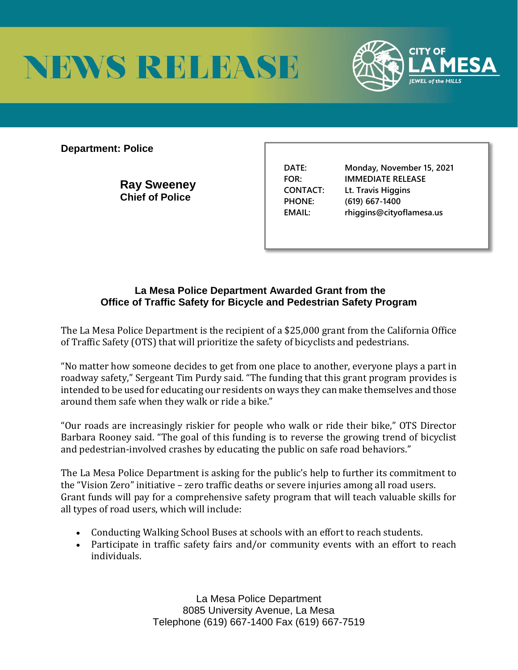



**Department: Police** 

**Ray Sweeney Chief of Police** 

**DATE: Monday, November 15, 2021 FOR: IMMEDIATE RELEASE CONTACT: Lt. Travis Higgins PHONE: (619) 667-1400 EMAIL: rhiggins@cityoflamesa.us**

## **La Mesa Police Department Awarded Grant from the Office of Traffic Safety for Bicycle and Pedestrian Safety Program**

The La Mesa Police Department is the recipient of a \$25,000 grant from the California Office of Traffic Safety (OTS) that will prioritize the safety of bicyclists and pedestrians.

"No matter how someone decides to get from one place to another, everyone plays a part in roadway safety," Sergeant Tim Purdy said. "The funding that this grant program provides is intended to be used for educating our residents on ways they can make themselves and those around them safe when they walk or ride a bike."

"Our roads are increasingly riskier for people who walk or ride their bike," OTS Director Barbara Rooney said. "The goal of this funding is to reverse the growing trend of bicyclist and pedestrian-involved crashes by educating the public on safe road behaviors."

The La Mesa Police Department is asking for the public's help to further its commitment to the "Vision Zero" initiative – zero traffic deaths or severe injuries among all road users. Grant funds will pay for a comprehensive safety program that will teach valuable skills for all types of road users, which will include:

- Conducting Walking School Buses at schools with an effort to reach students.
- Participate in traffic safety fairs and/or community events with an effort to reach individuals.

La Mesa Police Department 8085 University Avenue, La Mesa Telephone (619) 667-1400 Fax (619) 667-7519